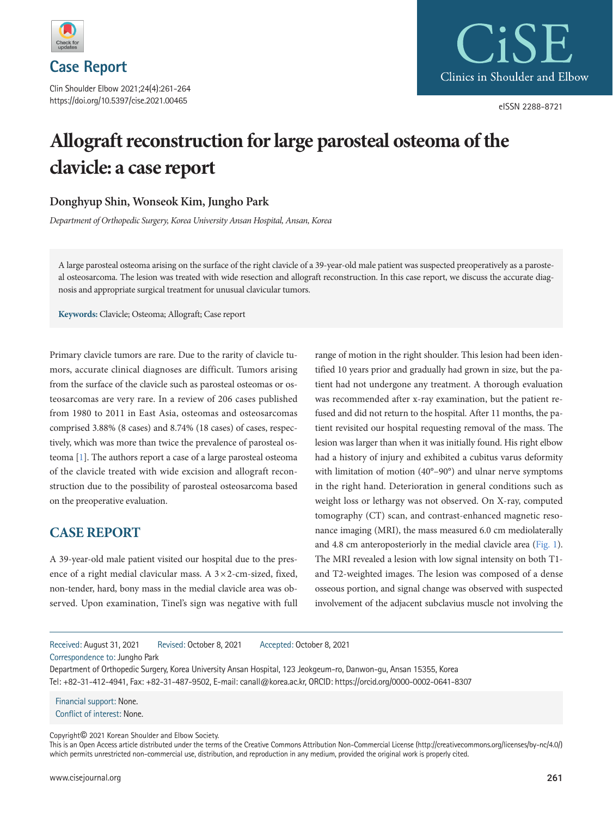

**Case Report**

Clin Shoulder Elbow 2021;24(4):261-264 https://doi.org/10.5397/cise.2021.00465



eISSN 2288-8721

# **Allograft reconstruction for large parosteal osteoma of the clavicle: a case report**

### **Donghyup Shin, Wonseok Kim, Jungho Park**

*Department of Orthopedic Surgery, Korea University Ansan Hospital, Ansan, Korea* 

A large parosteal osteoma arising on the surface of the right clavicle of a 39-year-old male patient was suspected preoperatively as a parosteal osteosarcoma. The lesion was treated with wide resection and allograft reconstruction. In this case report, we discuss the accurate diagnosis and appropriate surgical treatment for unusual clavicular tumors.

**Keywords:** Clavicle; Osteoma; Allograft; Case report

Primary clavicle tumors are rare. Due to the rarity of clavicle tumors, accurate clinical diagnoses are difficult. Tumors arising from the surface of the clavicle such as parosteal osteomas or osteosarcomas are very rare. In a review of 206 cases published from 1980 to 2011 in East Asia, osteomas and osteosarcomas comprised 3.88% (8 cases) and 8.74% (18 cases) of cases, respectively, which was more than twice the prevalence of parosteal osteoma [\[1](#page-2-0)]. The authors report a case of a large parosteal osteoma of the clavicle treated with wide excision and allograft reconstruction due to the possibility of parosteal osteosarcoma based on the preoperative evaluation.

## **CASE REPORT**

A 39-year-old male patient visited our hospital due to the presence of a right medial clavicular mass. A  $3 \times 2$ -cm-sized, fixed, non-tender, hard, bony mass in the medial clavicle area was observed. Upon examination, Tinel's sign was negative with full range of motion in the right shoulder. This lesion had been identified 10 years prior and gradually had grown in size, but the patient had not undergone any treatment. A thorough evaluation was recommended after x-ray examination, but the patient refused and did not return to the hospital. After 11 months, the patient revisited our hospital requesting removal of the mass. The lesion was larger than when it was initially found. His right elbow had a history of injury and exhibited a cubitus varus deformity with limitation of motion (40°–90°) and ulnar nerve symptoms in the right hand. Deterioration in general conditions such as weight loss or lethargy was not observed. On X-ray, computed tomography (CT) scan, and contrast-enhanced magnetic resonance imaging (MRI), the mass measured 6.0 cm mediolaterally and 4.8 cm anteroposteriorly in the medial clavicle area [\(Fig. 1\)](#page-1-0). The MRI revealed a lesion with low signal intensity on both T1 and T2-weighted images. The lesion was composed of a dense osseous portion, and signal change was observed with suspected involvement of the adjacent subclavius muscle not involving the

Received: August 31, 2021 Revised: October 8, 2021 Accepted: October 8, 2021

Correspondence to: Jungho Park

Department of Orthopedic Surgery, Korea University Ansan Hospital, 123 Jeokgeum-ro, Danwon-gu, Ansan 15355, Korea Tel: +82-31-412-4941, Fax: +82-31-487-9502, E-mail: canall@korea.ac.kr, ORCID: https://orcid.org/0000-0002-0641-8307

Financial support: None. Conflict of interest: None.

Copyright© 2021 Korean Shoulder and Elbow Society.

This is an Open Access article distributed under the terms of the Creative Commons Attribution Non-Commercial License (http://creativecommons.org/licenses/by-nc/4.0/) which permits unrestricted non-commercial use, distribution, and reproduction in any medium, provided the original work is properly cited.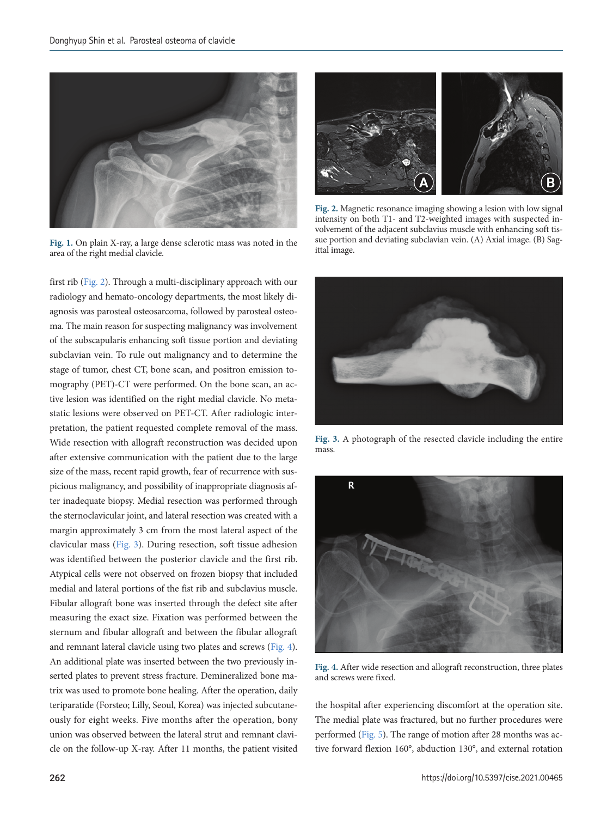<span id="page-1-0"></span>

**Fig. 1.** On plain X-ray, a large dense sclerotic mass was noted in the area of the right medial clavicle.

first rib [\(Fig. 2\)](#page-1-1). Through a multi-disciplinary approach with our radiology and hemato-oncology departments, the most likely diagnosis was parosteal osteosarcoma, followed by parosteal osteoma. The main reason for suspecting malignancy was involvement of the subscapularis enhancing soft tissue portion and deviating subclavian vein. To rule out malignancy and to determine the stage of tumor, chest CT, bone scan, and positron emission tomography (PET)-CT were performed. On the bone scan, an active lesion was identified on the right medial clavicle. No metastatic lesions were observed on PET-CT. After radiologic interpretation, the patient requested complete removal of the mass. Wide resection with allograft reconstruction was decided upon after extensive communication with the patient due to the large size of the mass, recent rapid growth, fear of recurrence with suspicious malignancy, and possibility of inappropriate diagnosis after inadequate biopsy. Medial resection was performed through the sternoclavicular joint, and lateral resection was created with a margin approximately 3 cm from the most lateral aspect of the clavicular mass [\(Fig. 3\)](#page-1-2). During resection, soft tissue adhesion was identified between the posterior clavicle and the first rib. Atypical cells were not observed on frozen biopsy that included medial and lateral portions of the fist rib and subclavius muscle. Fibular allograft bone was inserted through the defect site after measuring the exact size. Fixation was performed between the sternum and fibular allograft and between the fibular allograft and remnant lateral clavicle using two plates and screws [\(Fig. 4\)](#page-1-3). An additional plate was inserted between the two previously inserted plates to prevent stress fracture. Demineralized bone matrix was used to promote bone healing. After the operation, daily teriparatide (Forsteo; Lilly, Seoul, Korea) was injected subcutaneously for eight weeks. Five months after the operation, bony union was observed between the lateral strut and remnant clavicle on the follow-up X-ray. After 11 months, the patient visited

<span id="page-1-1"></span>

**Fig. 2.** Magnetic resonance imaging showing a lesion with low signal intensity on both T1- and T2-weighted images with suspected involvement of the adjacent subclavius muscle with enhancing soft tissue portion and deviating subclavian vein. (A) Axial image. (B) Sagittal image.

<span id="page-1-2"></span>

**Fig. 3.** A photograph of the resected clavicle including the entire mass.

<span id="page-1-3"></span>

**Fig. 4.** After wide resection and allograft reconstruction, three plates and screws were fixed.

the hospital after experiencing discomfort at the operation site. The medial plate was fractured, but no further procedures were performed [\(Fig. 5\)](#page-2-1). The range of motion after 28 months was active forward flexion 160°, abduction 130°, and external rotation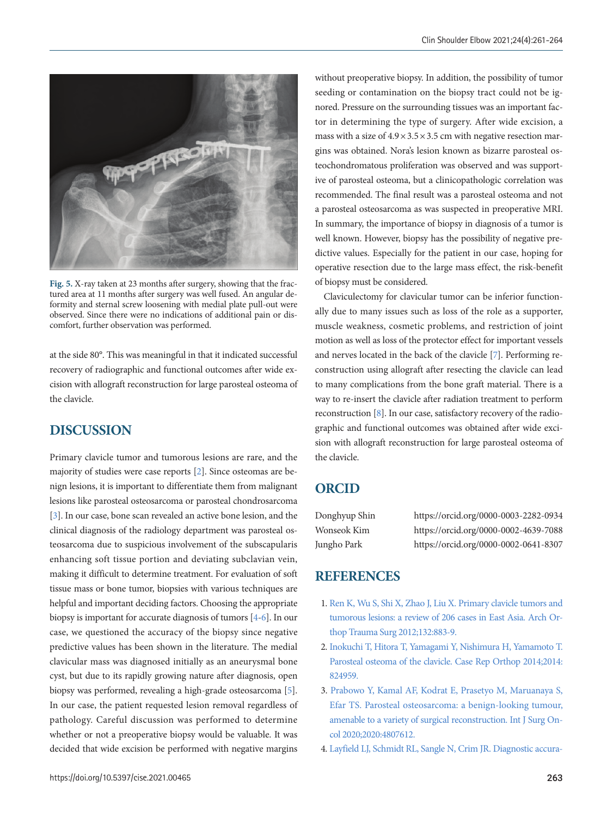<span id="page-2-1"></span>

**Fig. 5.** X-ray taken at 23 months after surgery, showing that the fractured area at 11 months after surgery was well fused. An angular deformity and sternal screw loosening with medial plate pull-out were observed. Since there were no indications of additional pain or discomfort, further observation was performed.

at the side 80°. This was meaningful in that it indicated successful recovery of radiographic and functional outcomes after wide excision with allograft reconstruction for large parosteal osteoma of the clavicle.

## **DISCUSSION**

Primary clavicle tumor and tumorous lesions are rare, and the majority of studies were case reports [\[2\]](#page-2-2). Since osteomas are benign lesions, it is important to differentiate them from malignant lesions like parosteal osteosarcoma or parosteal chondrosarcoma [\[3\]](#page-2-3). In our case, bone scan revealed an active bone lesion, and the clinical diagnosis of the radiology department was parosteal osteosarcoma due to suspicious involvement of the subscapularis enhancing soft tissue portion and deviating subclavian vein, making it difficult to determine treatment. For evaluation of soft tissue mass or bone tumor, biopsies with various techniques are helpful and important deciding factors. Choosing the appropriate biopsy is important for accurate diagnosis of tumors [\[4-](#page-2-4)[6\]](#page-3-0). In our case, we questioned the accuracy of the biopsy since negative predictive values has been shown in the literature. The medial clavicular mass was diagnosed initially as an aneurysmal bone cyst, but due to its rapidly growing nature after diagnosis, open biopsy was performed, revealing a high-grade osteosarcoma [\[5\]](#page-3-1). In our case, the patient requested lesion removal regardless of pathology. Careful discussion was performed to determine whether or not a preoperative biopsy would be valuable. It was decided that wide excision be performed with negative margins

without preoperative biopsy. In addition, the possibility of tumor seeding or contamination on the biopsy tract could not be ignored. Pressure on the surrounding tissues was an important factor in determining the type of surgery. After wide excision, a mass with a size of  $4.9 \times 3.5 \times 3.5$  cm with negative resection margins was obtained. Nora's lesion known as bizarre parosteal osteochondromatous proliferation was observed and was supportive of parosteal osteoma, but a clinicopathologic correlation was recommended. The final result was a parosteal osteoma and not a parosteal osteosarcoma as was suspected in preoperative MRI. In summary, the importance of biopsy in diagnosis of a tumor is well known. However, biopsy has the possibility of negative predictive values. Especially for the patient in our case, hoping for operative resection due to the large mass effect, the risk-benefit of biopsy must be considered.

Claviculectomy for clavicular tumor can be inferior functionally due to many issues such as loss of the role as a supporter, muscle weakness, cosmetic problems, and restriction of joint motion as well as loss of the protector effect for important vessels and nerves located in the back of the clavicle [\[7\]](#page-3-2). Performing reconstruction using allograft after resecting the clavicle can lead to many complications from the bone graft material. There is a way to re-insert the clavicle after radiation treatment to perform reconstruction [\[8](#page-3-3)]. In our case, satisfactory recovery of the radiographic and functional outcomes was obtained after wide excision with allograft reconstruction for large parosteal osteoma of the clavicle.

#### **ORCID**

Donghyup Shin https://orcid.org/0000-0003-2282-0934 Wonseok Kim https://orcid.org/0000-0002-4639-7088 Jungho Park https://orcid.org/0000-0002-0641-8307

#### **REFERENCES**

- <span id="page-2-0"></span>1. [Ren K, Wu S, Shi X, Zhao J, Liu X. Primary clavicle tumors and](https://doi.org/10.1007/s00402-012-1462-2)  [tumorous lesions: a review of 206 cases in East Asia. Arch Or](https://doi.org/10.1007/s00402-012-1462-2)[thop Trauma Surg 2012;132:883-9.](https://doi.org/10.1007/s00402-012-1462-2)
- <span id="page-2-2"></span>2. [Inokuchi T, Hitora T, Yamagami Y, Nishimura H, Yamamoto T.](https://doi.org/10.1155/2014/824959)  [Parosteal osteoma of the clavicle. Case Rep Orthop 2014;2014:](https://doi.org/10.1155/2014/824959) [824959.](https://doi.org/10.1155/2014/824959)
- <span id="page-2-3"></span>3. [Prabowo Y, Kamal AF, Kodrat E, Prasetyo M, Maruanaya S,](https://doi.org/10.1155/2020/4807612)  [Efar TS. Parosteal osteosarcoma: a benign-looking tumour,](https://doi.org/10.1155/2020/4807612)  [amenable to a variety of surgical reconstruction. Int J Surg On](https://doi.org/10.1155/2020/4807612)[col 2020;2020:4807612.](https://doi.org/10.1155/2020/4807612)
- <span id="page-2-4"></span>[4. Layfield LJ, Schmidt RL, Sangle N, Crim JR. Diagnostic accura-](https://doi.org/10.1002/dc.23005)